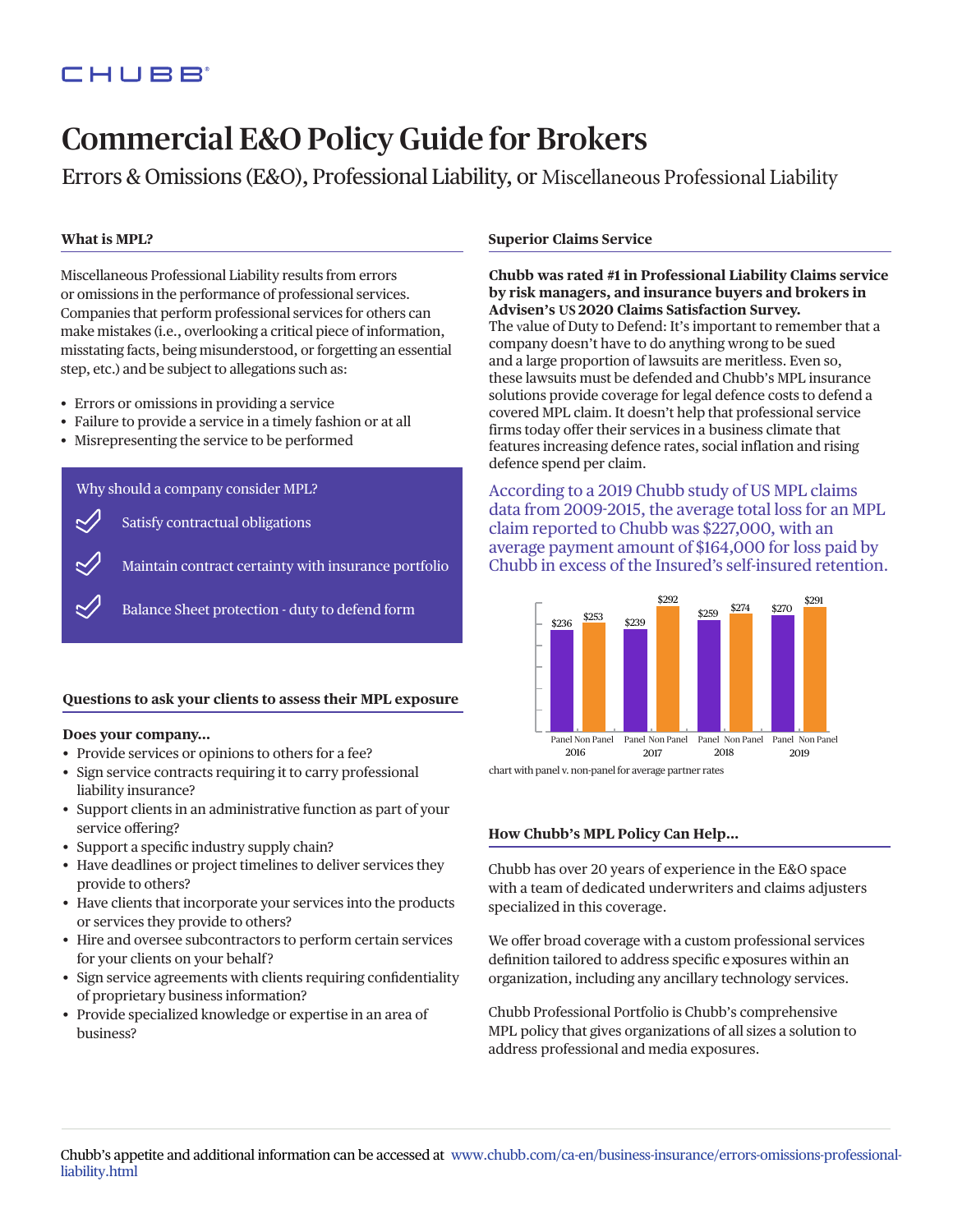## CHUBB

# Commercial E&O Policy Guide for Brokers

Errors & Omissions (E&O), Professional Liability, or Miscellaneous Professional Liability

#### **What is MPL?**

Miscellaneous Professional Liability results from errors or omissions in the performance of professional services. Companies that perform professional services for others can make mistakes (i.e., overlooking a critical piece of information, misstating facts, being misunderstood, or forgetting an essential step, etc.) and be subject to allegations such as:

- Errors or omissions in providing a service
- Failure to provide a service in a timely fashion or at all
- Misrepresenting the service to be performed

Why should a company consider MPL?

Satisfy contractual obligations

Maintain contract certainty with insurance portfolio

Balance Sheet protection - duty to defend form

#### **Questions to ask your clients to assess their MPL exposure**

#### **Does your company…**

- Provide services or opinions to others for a fee?
- Sign service contracts requiring it to carry professional liability insurance?
- Support clients in an administrative function as part of your service offering?
- Support a specific industry supply chain?
- Have deadlines or project timelines to deliver services they provide to others?
- Have clients that incorporate your services into the products or services they provide to others?
- Hire and oversee subcontractors to perform certain services for your clients on your behalf?
- Sign service agreements with clients requiring confidentiality of proprietary business information?
- Provide specialized knowledge or expertise in an area of business?

#### **Superior Claims Service**

**Chubb was rated #1 in Professional Liability Claims service by risk managers, and insurance buyers and brokers in Advisen's US 2020 Claims Satisfaction Survey.** The value of Duty to Defend: It's important to remember that a company doesn't have to do anything wrong to be sued and a large proportion of lawsuits are meritless. Even so, these lawsuits must be defended and Chubb's MPL insurance solutions provide coverage for legal defence costs to defend a covered MPL claim. It doesn't help that professional service firms today offer their services in a business climate that features increasing defence rates, social inflation and rising defence spend per claim.

According to a 2019 Chubb study of US MPL claims data from 2009-2015, the average total loss for an MPL claim reported to Chubb was \$227,000, with an average payment amount of \$164,000 for loss paid by Chubb in excess of the Insured's self-insured retention.



chart with panel v. non-panel for average partner rates

#### **How Chubb's MPL Policy Can Help…**

Chubb has over 20 years of experience in the E&O space with a team of dedicated underwriters and claims adjusters specialized in this coverage.

We offer broad coverage with a custom professional services definition tailored to address specific exposures within an organization, including any ancillary technology services.

Chubb Professional Portfolio is Chubb's comprehensive MPL policy that gives organizations of all sizes a solution to address professional and media exposures.